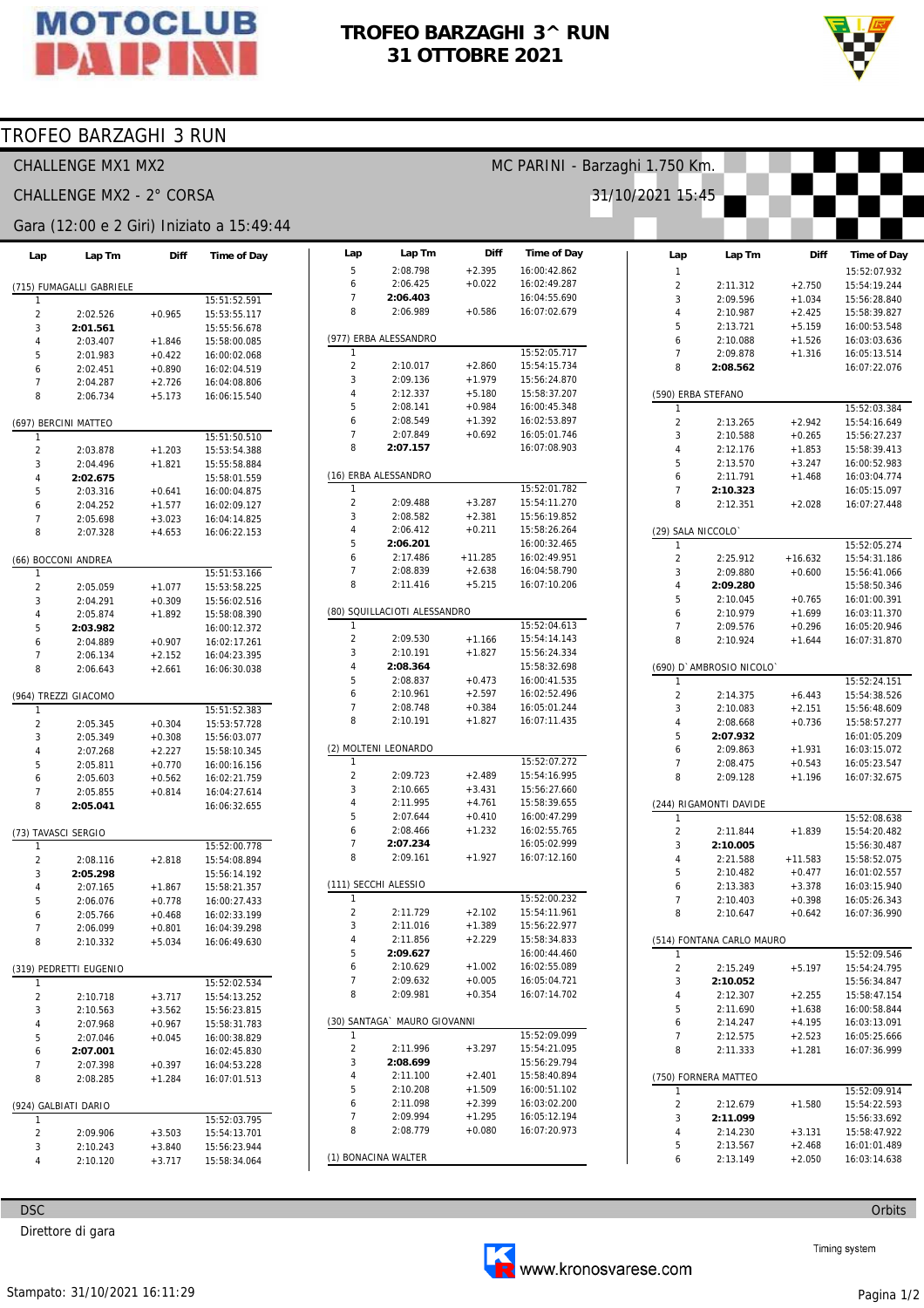

# TROFEO BARZAGHI 3^ RUN 31 OTTOBRE 2021

Diff

 $+2.395$ 

 $+0.022$ 

 $+0.586$ 

Lap

 $\overline{5}$ 

 $\overline{6}$ 

 $\overline{7}$ 

 $\mathbf{g}$ 

Lap Tm

2:08.798

2:06.425

2:06.403

2:06.989

(977) ERBA ALESSANDRO

Time of Day

16:00:42.862

16:02:49.287

16:04:55.690

16:07:02.679

MC PARINI - Barzaghi 1.750 Km.  $31/10/$ 



## TROFEO BARZAGHI 3 RUN

CHALLENGE MX1 MX2

## CHALLENGE MX2 - 2° CORSA

#### Gara (12:00 e 2 Giri) Iniziato a 15:49:44

| Lap                      | Lap Tm                 | Diff                 | <b>Time of Day</b>           |  |  |  |  |
|--------------------------|------------------------|----------------------|------------------------------|--|--|--|--|
| (715) FUMAGALLI GABRIELE |                        |                      |                              |  |  |  |  |
| 1                        |                        |                      | 15:51:52.591                 |  |  |  |  |
| 2                        | 2:02.526               | +0.965               | 15:53:55.117                 |  |  |  |  |
| 3                        | 2:01.561               |                      | 15:55:56.678                 |  |  |  |  |
| 4                        | 2:03.407               | $+1.846$             | 15:58:00.085                 |  |  |  |  |
| 5                        | 2:01.983               | $+0.422$             | 16:00:02.068                 |  |  |  |  |
| 6                        | 2:02.451               | $+0.890$             | 16:02:04.519                 |  |  |  |  |
| 7                        | 2:04.287               | $+2.726$             | 16:04:08.806                 |  |  |  |  |
| 8                        | 2:06.734               | $+5.173$             | 16:06:15.540                 |  |  |  |  |
|                          | (697) BERCINI MATTEO   |                      |                              |  |  |  |  |
| 1                        |                        |                      | 15:51:50.510                 |  |  |  |  |
| $\overline{c}$           | 2:03.878               | $+1.203$             | 15:53:54.388                 |  |  |  |  |
| 3                        | 2:04.496               | $+1.821$             | 15:55:58.884                 |  |  |  |  |
| 4                        | 2:02.675               |                      | 15:58:01.559                 |  |  |  |  |
| 5                        | 2:03.316               | $+0.641$             | 16:00:04.875                 |  |  |  |  |
| 6                        | 2:04.252               | $+1.577$             | 16:02:09.127                 |  |  |  |  |
| 7                        | 2:05.698               | $+3.023$             | 16:04:14.825                 |  |  |  |  |
| 8                        | 2:07.328               | $+4.653$             | 16:06:22.153                 |  |  |  |  |
|                          | (66) BOCCONI ANDREA    |                      |                              |  |  |  |  |
| 1<br>$\overline{c}$      | 2:05.059               | +1.077               | 15:51:53.166<br>15:53:58.225 |  |  |  |  |
| 3                        | 2:04.291               | $+0.309$             | 15:56:02.516                 |  |  |  |  |
| 4                        | 2:05.874               | $+1.892$             | 15:58:08.390                 |  |  |  |  |
| 5                        | 2:03.982               |                      | 16:00:12.372                 |  |  |  |  |
| 6                        | 2:04.889               | $+0.907$             | 16:02:17.261                 |  |  |  |  |
| 7                        | 2:06.134               | $+2.152$             | 16:04:23.395                 |  |  |  |  |
| 8                        | 2:06.643               | $+2.661$             | 16:06:30.038                 |  |  |  |  |
|                          |                        |                      |                              |  |  |  |  |
|                          | (964) TREZZI GIACOMO   |                      |                              |  |  |  |  |
| 1                        |                        |                      | 15:51:52.383                 |  |  |  |  |
| 2                        | 2:05.345               | $+0.304$             | 15:53:57.728                 |  |  |  |  |
| 3                        | 2:05.349               | $+0.308$             | 15:56:03.077                 |  |  |  |  |
| 4                        | 2:07.268               | $+2.227$             | 15:58:10.345                 |  |  |  |  |
| 5                        | 2:05.811               | $+0.770$             | 16:00:16.156                 |  |  |  |  |
| 6<br>7                   | 2:05.603<br>2:05.855   | $+0.562$<br>$+0.814$ | 16:02:21.759                 |  |  |  |  |
| 8                        | 2:05.041               |                      | 16:04:27.614<br>16:06:32.655 |  |  |  |  |
|                          |                        |                      |                              |  |  |  |  |
| (73)                     | TAVASCI SERGIO         |                      |                              |  |  |  |  |
| 1                        |                        |                      | 15:52:00.778                 |  |  |  |  |
| $\overline{c}$           | 2:08.116               | $+2.818$             | 15:54:08.894                 |  |  |  |  |
| 3                        | 2:05.298               |                      | 15:56:14.192                 |  |  |  |  |
| 4                        | 2:07.165               | +1.867               | 15:58:21.357                 |  |  |  |  |
| 5                        | 2:06.076               | $+0.778$             | 16:00:27.433                 |  |  |  |  |
| 6                        | 2:05.766               | $+0.468$             | 16:02:33.199                 |  |  |  |  |
| 7                        | 2:06.099               | $+0.801$             | 16:04:39.298                 |  |  |  |  |
| 8                        | 2:10.332               | $+5.034$             | 16:06:49.630                 |  |  |  |  |
|                          | (319) PEDRETTI EUGENIO |                      |                              |  |  |  |  |
| 1                        |                        |                      | 15:52:02.534                 |  |  |  |  |
| 2                        | 2:10.718               | $+3.717$             | 15:54:13.252                 |  |  |  |  |
| 3                        | 2:10.563               | $+3.562$             | 15:56:23.815                 |  |  |  |  |
| 4                        | 2:07.968               | $+0.967$             | 15:58:31.783                 |  |  |  |  |
| 5                        | 2:07.046               | $+0.045$             | 16:00:38.829                 |  |  |  |  |
| 6                        | 2:07.001               |                      | 16:02:45.830                 |  |  |  |  |
| 7                        | 2:07.398               | $+0.397$             | 16:04:53.228                 |  |  |  |  |
| 8                        | 2:08.285               | $+1.284$             | 16:07:01.513                 |  |  |  |  |
|                          | (924) GALBIATI DARIO   |                      |                              |  |  |  |  |
| 1                        |                        |                      | 15:52:03.795                 |  |  |  |  |
| 2                        | 2:09.906               | $+3.503$             | 15:54:13.701                 |  |  |  |  |
| 3                        | 2:10.243               | +3.840               | 15:56:23.944                 |  |  |  |  |
| 4                        | 2:10.120               | $+3.717$             | 15:58:34.064                 |  |  |  |  |

| 1                       |                              |           | 15:52:05.717 |  |  |  |  |
|-------------------------|------------------------------|-----------|--------------|--|--|--|--|
| $\overline{c}$          | 2:10.017                     | $+2.860$  | 15:54:15.734 |  |  |  |  |
| 3                       | 2:09.136                     | $+1.979$  | 15:56:24.870 |  |  |  |  |
| 4                       | 2:12.337                     | $+5.180$  | 15:58:37.207 |  |  |  |  |
| 5                       | 2:08.141                     | $+0.984$  | 16:00:45.348 |  |  |  |  |
| 6                       | 2:08.549                     | $+1.392$  | 16:02:53.897 |  |  |  |  |
| 7                       | 2:07.849                     | $+0.692$  | 16:05:01.746 |  |  |  |  |
| 8                       | 2:07.157                     |           | 16:07:08.903 |  |  |  |  |
|                         |                              |           |              |  |  |  |  |
|                         | (16) ERBA ALESSANDRO         |           |              |  |  |  |  |
| 1                       |                              |           | 15:52:01.782 |  |  |  |  |
| $\overline{c}$          | 2:09.488                     | $+3.287$  | 15:54:11.270 |  |  |  |  |
| 3                       | 2:08.582                     | $+2.381$  | 15:56:19.852 |  |  |  |  |
| 4                       | 2:06.412                     | $+0.211$  | 15:58:26.264 |  |  |  |  |
| 5                       | 2:06.201                     |           | 16:00:32.465 |  |  |  |  |
|                         |                              |           |              |  |  |  |  |
| 6                       | 2:17.486                     | $+11.285$ | 16:02:49.951 |  |  |  |  |
| 7                       | 2:08.839                     | $+2.638$  | 16:04:58.790 |  |  |  |  |
| 8                       | 2:11.416                     | $+5.215$  | 16:07:10.206 |  |  |  |  |
|                         | (80) SQUILLACIOTI ALESSANDRO |           |              |  |  |  |  |
| 1                       |                              |           | 15:52:04.613 |  |  |  |  |
| $\overline{2}$          | 2:09.530                     | $+1.166$  | 15:54:14.143 |  |  |  |  |
| 3                       | 2:10.191                     | $+1.827$  | 15:56:24.334 |  |  |  |  |
| $\overline{4}$          | 2:08.364                     |           | 15:58:32.698 |  |  |  |  |
| 5                       | 2:08.837                     | $+0.473$  | 16:00:41.535 |  |  |  |  |
| 6                       |                              |           |              |  |  |  |  |
|                         | 2:10.961                     | $+2.597$  | 16:02:52.496 |  |  |  |  |
| 7                       | 2:08.748                     | $+0.384$  | 16:05:01.244 |  |  |  |  |
| 8                       | 2:10.191                     | $+1.827$  | 16:07:11.435 |  |  |  |  |
|                         | (2) MOLTENI LEONARDO         |           |              |  |  |  |  |
| 1                       |                              |           | 15:52:07.272 |  |  |  |  |
| 2                       | 2:09.723                     | $+2.489$  | 15:54:16.995 |  |  |  |  |
| 3                       | 2:10.665                     |           | 15:56:27.660 |  |  |  |  |
|                         |                              | $+3.431$  |              |  |  |  |  |
| 4                       | 2:11.995                     | $+4.761$  | 15:58:39.655 |  |  |  |  |
| 5                       | 2:07.644                     | $+0.410$  | 16:00:47.299 |  |  |  |  |
| 6                       | 2:08.466                     | $+1.232$  | 16:02:55.765 |  |  |  |  |
| 7                       | 2:07.234                     |           | 16:05:02.999 |  |  |  |  |
| 8                       | 2:09.161                     | $+1.927$  | 16:07:12.160 |  |  |  |  |
|                         | (111) SECCHI ALESSIO         |           |              |  |  |  |  |
| 1                       |                              |           | 15:52:00.232 |  |  |  |  |
| $\overline{2}$          | 2:11.729                     | $+2.102$  | 15:54:11.961 |  |  |  |  |
|                         |                              |           |              |  |  |  |  |
| 3                       | 2:11.016                     | $+1.389$  | 15:56:22.977 |  |  |  |  |
| 4                       | 2:11.856                     | $+2.229$  | 15:58:34.833 |  |  |  |  |
| 5                       | 2:09.627                     |           | 16:00:44.460 |  |  |  |  |
| 6                       | 2:10.629                     | $+1.002$  | 16:02:55.089 |  |  |  |  |
| 7                       | 2:09.632                     | $+0.005$  | 16:05:04.721 |  |  |  |  |
| 8                       | 2:09.981                     | $+0.354$  | 16:07:14.702 |  |  |  |  |
|                         |                              |           |              |  |  |  |  |
| (30)<br>1               | SANTAGA` MAURO GIOVANNI      |           | 15:52:09.099 |  |  |  |  |
|                         |                              |           |              |  |  |  |  |
| $\overline{\mathbf{c}}$ | 2:11.996                     | $+3.297$  | 15:54:21.095 |  |  |  |  |
| 3                       | 2:08.699                     |           | 15:56:29.794 |  |  |  |  |
| 4                       | 2:11.100                     | $+2.401$  | 15:58:40.894 |  |  |  |  |
| 5                       | 2:10.208                     | $+1.509$  | 16:00:51.102 |  |  |  |  |
| 6                       | 2:11.098                     | $+2.399$  | 16:03:02.200 |  |  |  |  |
| 7                       | 2:09.994                     | $+1.295$  | 16:05:12.194 |  |  |  |  |
| 8                       | 2:08.779                     | $+0.080$  | 16:07:20.973 |  |  |  |  |
|                         |                              |           |              |  |  |  |  |
|                         | <b>MALTED</b>                |           |              |  |  |  |  |

| 2021<br>15:45             |                        |                      |                                    |  |  |  |  |
|---------------------------|------------------------|----------------------|------------------------------------|--|--|--|--|
|                           |                        |                      |                                    |  |  |  |  |
|                           | Lap Tm                 | Diff                 |                                    |  |  |  |  |
| Lap<br>1                  |                        |                      | <b>Time of Day</b><br>15:52:07.932 |  |  |  |  |
| $\overline{2}$            | 2:11.312               | $+2.750$             | 15:54:19.244                       |  |  |  |  |
| 3                         | 2:09.596               | $+1.034$             | 15:56:28.840                       |  |  |  |  |
| 4                         | 2:10.987               | $+2.425$             | 15:58:39.827                       |  |  |  |  |
| 5                         | 2:13.721               | $+5.159$             | 16:00:53.548                       |  |  |  |  |
| 6                         | 2:10.088               | $+1.526$             | 16:03:03.636                       |  |  |  |  |
| 7                         | 2:09.878               | $+1.316$             | 16:05:13.514                       |  |  |  |  |
| 8                         | 2:08.562               |                      | 16:07:22.076                       |  |  |  |  |
| (590) ERBA STEFANO        |                        |                      |                                    |  |  |  |  |
| 1<br>$\overline{2}$       |                        |                      | 15:52:03.384                       |  |  |  |  |
| 3                         | 2:13.265<br>2:10.588   | $+2.942$<br>$+0.265$ | 15:54:16.649<br>15:56:27.237       |  |  |  |  |
| 4                         | 2:12.176               | $+1.853$             | 15:58:39.413                       |  |  |  |  |
| 5                         | 2:13.570               | $+3.247$             | 16:00:52.983                       |  |  |  |  |
| 6                         | 2:11.791               | $+1.468$             | 16:03:04.774                       |  |  |  |  |
| 7                         | 2:10.323               |                      | 16:05:15.097                       |  |  |  |  |
| 8                         | 2:12.351               | $+2.028$             | 16:07:27.448                       |  |  |  |  |
| (29) SALA NICCOLO`        |                        |                      |                                    |  |  |  |  |
| 1                         |                        |                      | 15:52:05.274                       |  |  |  |  |
| $\overline{c}$            | 2:25.912               | $+16.632$            | 15:54:31.186                       |  |  |  |  |
| 3                         | 2:09.880               | $+0.600$             | 15:56:41.066                       |  |  |  |  |
| 4                         | 2:09.280               |                      | 15:58:50.346                       |  |  |  |  |
| 5                         | 2:10.045               | $+0.765$             | 16:01:00.391                       |  |  |  |  |
| 6                         | 2:10.979               | $+1.699$             | 16:03:11.370                       |  |  |  |  |
| 7                         | 2:09.576               | $+0.296$             | 16:05:20.946                       |  |  |  |  |
| 8                         | 2:10.924               | $+1.644$             | 16:07:31.870                       |  |  |  |  |
| D<br>(690)                | AMBROSIO NICOLO        |                      |                                    |  |  |  |  |
| 1                         |                        |                      | 15:52:24.151                       |  |  |  |  |
| $\overline{c}$            | 2:14.375               | $+6.443$             | 15:54:38.526                       |  |  |  |  |
| 3<br>4                    | 2:10.083<br>2:08.668   | $+2.151$             | 15:56:48.609                       |  |  |  |  |
| 5                         | 2:07.932               | $+0.736$             | 15:58:57.277<br>16:01:05.209       |  |  |  |  |
| 6                         | 2:09.863               | $+1.931$             | 16:03:15.072                       |  |  |  |  |
| 7                         | 2:08.475               | $+0.543$             | 16:05:23.547                       |  |  |  |  |
| 8                         | 2:09.128               | $+1.196$             | 16:07:32.675                       |  |  |  |  |
|                           | (244) RIGAMONTI DAVIDE |                      |                                    |  |  |  |  |
| 1                         |                        |                      | 15:52:08.638                       |  |  |  |  |
| $\overline{c}$            | 2:11.844               | $+1.839$             | 15:54:20.482                       |  |  |  |  |
| 3                         | 2:10.005               |                      | 15:56:30.487                       |  |  |  |  |
| 4                         | 2:21.588               | $+11.583$            | 15:58:52.075                       |  |  |  |  |
| 5                         | 2:10.482               | $+0.477$             | 16:01:02.557                       |  |  |  |  |
| 6                         | 2:13.383               | $+3.378$             | 16:03:15.940                       |  |  |  |  |
| 7                         | 2:10.403               | $+0.398$             | 16:05:26.343                       |  |  |  |  |
| 8                         | 2:10.647               | $+0.642$             | 16:07:36.990                       |  |  |  |  |
| (514) FONTANA CARLO MAURO |                        |                      |                                    |  |  |  |  |
| 1                         |                        |                      | 15:52:09.546                       |  |  |  |  |
| 2                         | 2:15.249               | $+5.197$             | 15:54:24.795                       |  |  |  |  |
| 3<br>4                    | 2:10.052<br>2:12.307   |                      | 15:56:34.847<br>15:58:47.154       |  |  |  |  |
|                           |                        | $+2.255$             |                                    |  |  |  |  |
| 5<br>6                    | 2:11.690<br>2:14.247   | $+1.638$<br>$+4.195$ | 16:00:58.844<br>16:03:13.091       |  |  |  |  |
|                           | 7<br>2:12.575          |                      | 16:05:25.666                       |  |  |  |  |
| 8                         | 2:11.333               | $+2.523$<br>$+1.281$ | 16:07:36.999                       |  |  |  |  |
| (750) FORNERA MATTEO      |                        |                      |                                    |  |  |  |  |
| 1                         |                        |                      | 15:52:09.914                       |  |  |  |  |
| $\overline{c}$            | 2:12.679               | $+1.580$             | 15:54:22.593                       |  |  |  |  |
| 3                         | 2:11.099               |                      | 15:56:33.692                       |  |  |  |  |
| 4                         | 2:14.230               | $+3.131$             | 15:58:47.922                       |  |  |  |  |
| 5                         | 2:13.567               | $+2.468$             | 16:01:01.489                       |  |  |  |  |
| 6                         | 2:13.149               | $+2.050$             | 16:03:14.638                       |  |  |  |  |

**DSC** 

Direttore di gara